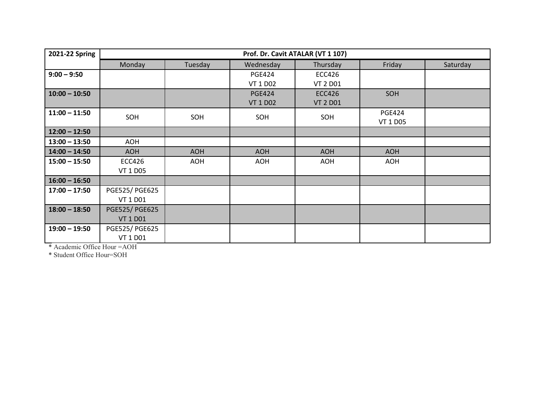| 2021-22 Spring  | Prof. Dr. Cavit ATALAR (VT 1 107) |            |                 |                 |                 |          |  |
|-----------------|-----------------------------------|------------|-----------------|-----------------|-----------------|----------|--|
|                 | Monday                            | Tuesday    | Wednesday       | Thursday        | Friday          | Saturday |  |
| $9:00 - 9:50$   |                                   |            | <b>PGE424</b>   | <b>ECC426</b>   |                 |          |  |
|                 |                                   |            | <b>VT 1 D02</b> | <b>VT 2 D01</b> |                 |          |  |
| $10:00 - 10:50$ |                                   |            | <b>PGE424</b>   | <b>ECC426</b>   | SOH             |          |  |
|                 |                                   |            | <b>VT 1 D02</b> | <b>VT 2 D01</b> |                 |          |  |
| $11:00 - 11:50$ | SOH                               | SOH        | SOH             | SOH             | <b>PGE424</b>   |          |  |
|                 |                                   |            |                 |                 | <b>VT 1 D05</b> |          |  |
| $12:00 - 12:50$ |                                   |            |                 |                 |                 |          |  |
| $13:00 - 13:50$ | AOH                               |            |                 |                 |                 |          |  |
| $14:00 - 14:50$ | <b>AOH</b>                        | <b>AOH</b> | <b>AOH</b>      | <b>AOH</b>      | <b>AOH</b>      |          |  |
| $15:00 - 15:50$ | <b>ECC426</b>                     | <b>AOH</b> | AOH             | <b>AOH</b>      | <b>AOH</b>      |          |  |
|                 | VT 1 D05                          |            |                 |                 |                 |          |  |
| $16:00 - 16:50$ |                                   |            |                 |                 |                 |          |  |
| $17:00 - 17:50$ | PGE525/ PGE625                    |            |                 |                 |                 |          |  |
|                 | VT 1 D01                          |            |                 |                 |                 |          |  |
| $18:00 - 18:50$ | <b>PGE525/ PGE625</b>             |            |                 |                 |                 |          |  |
|                 | <b>VT 1 D01</b>                   |            |                 |                 |                 |          |  |
| $19:00 - 19:50$ | PGE525/ PGE625                    |            |                 |                 |                 |          |  |
|                 | VT 1 D01                          |            |                 |                 |                 |          |  |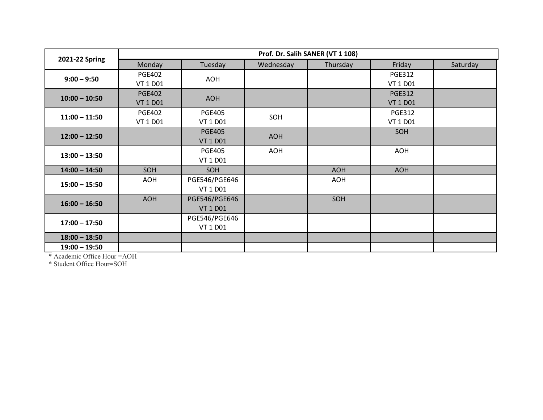|                 | Prof. Dr. Salih SANER (VT 1 108) |                                  |            |            |                                  |          |  |
|-----------------|----------------------------------|----------------------------------|------------|------------|----------------------------------|----------|--|
| 2021-22 Spring  | Monday                           | Tuesday                          | Wednesday  | Thursday   | Friday                           | Saturday |  |
| $9:00 - 9:50$   | <b>PGE402</b><br>VT 1 D01        | AOH                              |            |            | <b>PGE312</b><br>VT 1 D01        |          |  |
| $10:00 - 10:50$ | <b>PGE402</b><br><b>VT 1 D01</b> | <b>AOH</b>                       |            |            | <b>PGE312</b><br><b>VT 1 D01</b> |          |  |
| $11:00 - 11:50$ | <b>PGE402</b><br>VT 1 D01        | <b>PGE405</b><br>VT 1 D01        | SOH        |            | <b>PGE312</b><br>VT 1 D01        |          |  |
| $12:00 - 12:50$ |                                  | <b>PGE405</b><br><b>VT 1 D01</b> | <b>AOH</b> |            | SOH                              |          |  |
| $13:00 - 13:50$ |                                  | <b>PGE405</b><br>VT 1 D01        | <b>AOH</b> |            | <b>AOH</b>                       |          |  |
| $14:00 - 14:50$ | SOH                              | SOH                              |            | <b>AOH</b> | <b>AOH</b>                       |          |  |
| $15:00 - 15:50$ | AOH                              | PGE546/PGE646<br>VT 1 D01        |            | <b>AOH</b> |                                  |          |  |
| $16:00 - 16:50$ | <b>AOH</b>                       | PGE546/PGE646<br><b>VT 1 D01</b> |            | SOH        |                                  |          |  |
| $17:00 - 17:50$ |                                  | PGE546/PGE646<br>VT 1 D01        |            |            |                                  |          |  |
| $18:00 - 18:50$ |                                  |                                  |            |            |                                  |          |  |
| $19:00 - 19:50$ |                                  |                                  |            |            |                                  |          |  |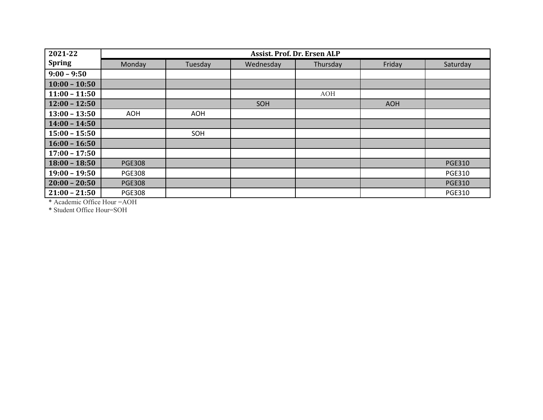| 2021-22         | Assist. Prof. Dr. Ersen ALP |         |           |          |            |               |  |  |
|-----------------|-----------------------------|---------|-----------|----------|------------|---------------|--|--|
| <b>Spring</b>   | Monday                      | Tuesday | Wednesday | Thursday | Friday     | Saturday      |  |  |
| $9:00 - 9:50$   |                             |         |           |          |            |               |  |  |
| $10:00 - 10:50$ |                             |         |           |          |            |               |  |  |
| $11:00 - 11:50$ |                             |         |           | AOH      |            |               |  |  |
| $12:00 - 12:50$ |                             |         | SOH       |          | <b>AOH</b> |               |  |  |
| $13:00 - 13:50$ | AOH                         | AOH     |           |          |            |               |  |  |
| $14:00 - 14:50$ |                             |         |           |          |            |               |  |  |
| $15:00 - 15:50$ |                             | SOH     |           |          |            |               |  |  |
| $16:00 - 16:50$ |                             |         |           |          |            |               |  |  |
| $17:00 - 17:50$ |                             |         |           |          |            |               |  |  |
| $18:00 - 18:50$ | <b>PGE308</b>               |         |           |          |            | <b>PGE310</b> |  |  |
| $19:00 - 19:50$ | <b>PGE308</b>               |         |           |          |            | <b>PGE310</b> |  |  |
| $20:00 - 20:50$ | <b>PGE308</b>               |         |           |          |            | <b>PGE310</b> |  |  |
| $21:00 - 21:50$ | <b>PGE308</b>               |         |           |          |            | <b>PGE310</b> |  |  |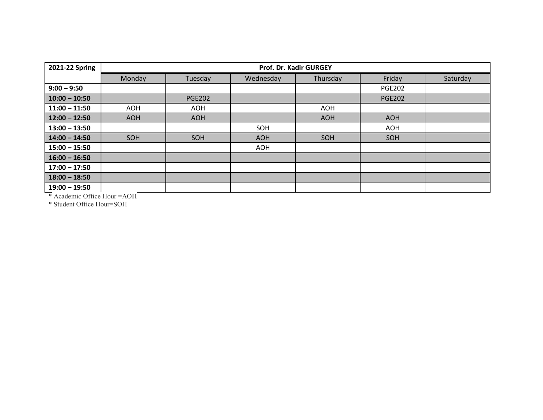| 2021-22 Spring                                         | Prof. Dr. Kadir GURGEY      |               |            |            |               |          |  |
|--------------------------------------------------------|-----------------------------|---------------|------------|------------|---------------|----------|--|
|                                                        | Monday                      | Tuesday       | Wednesday  | Thursday   | Friday        | Saturday |  |
| $9:00 - 9:50$                                          |                             |               |            |            | <b>PGE202</b> |          |  |
| $10:00 - 10:50$                                        |                             | <b>PGE202</b> |            |            | <b>PGE202</b> |          |  |
| $11:00 - 11:50$                                        | <b>AOH</b>                  | AOH           |            | <b>AOH</b> |               |          |  |
| $12:00 - 12:50$                                        | <b>AOH</b>                  | <b>AOH</b>    |            | <b>AOH</b> | <b>AOH</b>    |          |  |
| $13:00 - 13:50$                                        |                             |               | SOH        |            | AOH           |          |  |
| $14:00 - 14:50$                                        | SOH                         | SOH           | <b>AOH</b> | SOH        | SOH           |          |  |
| $15:00 - 15:50$                                        |                             |               | AOH        |            |               |          |  |
| $16:00 - 16:50$                                        |                             |               |            |            |               |          |  |
| $17:00 - 17:50$                                        |                             |               |            |            |               |          |  |
| $18:00 - 18:50$                                        |                             |               |            |            |               |          |  |
| $19:00 - 19:50$<br>$\cdots$ $\cdots$ $\cdots$ $\cdots$ | $\sim$ $\sim$ $\sim$ $\sim$ |               |            |            |               |          |  |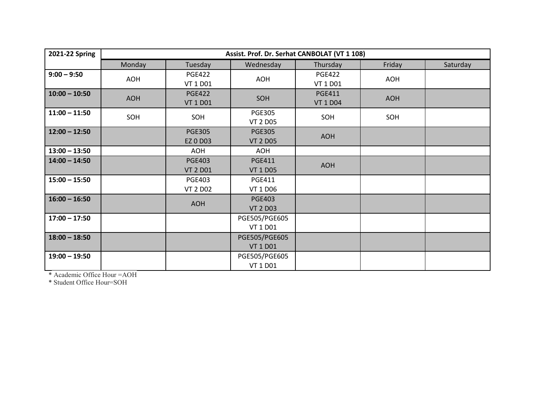| 2021-22 Spring  | Assist. Prof. Dr. Serhat CANBOLAT (VT 1 108) |                                  |                                  |                                  |            |          |
|-----------------|----------------------------------------------|----------------------------------|----------------------------------|----------------------------------|------------|----------|
|                 | Monday                                       | Tuesday                          | Wednesday                        | Thursday                         | Friday     | Saturday |
| $9:00 - 9:50$   | AOH                                          | <b>PGE422</b><br>VT 1 D01        | AOH                              | <b>PGE422</b><br>VT 1 D01        | <b>AOH</b> |          |
| $10:00 - 10:50$ | <b>AOH</b>                                   | <b>PGE422</b><br><b>VT 1 D01</b> | SOH                              | <b>PGE411</b><br><b>VT 1 D04</b> | <b>AOH</b> |          |
| $11:00 - 11:50$ | SOH                                          | SOH                              | <b>PGE305</b><br><b>VT 2 D05</b> | SOH                              | SOH        |          |
| $12:00 - 12:50$ |                                              | <b>PGE305</b><br><b>EZ 0 D03</b> | <b>PGE305</b><br><b>VT 2 D05</b> | <b>AOH</b>                       |            |          |
| $13:00 - 13:50$ |                                              | <b>AOH</b>                       | AOH                              |                                  |            |          |
| $14:00 - 14:50$ |                                              | <b>PGE403</b><br><b>VT 2 D01</b> | <b>PGE411</b><br><b>VT 1 D05</b> | <b>AOH</b>                       |            |          |
| $15:00 - 15:50$ |                                              | <b>PGE403</b><br><b>VT 2 D02</b> | <b>PGE411</b><br><b>VT 1 D06</b> |                                  |            |          |
| $16:00 - 16:50$ |                                              | <b>AOH</b>                       | <b>PGE403</b><br><b>VT 2 D03</b> |                                  |            |          |
| $17:00 - 17:50$ |                                              |                                  | PGE505/PGE605<br>VT 1 D01        |                                  |            |          |
| $18:00 - 18:50$ |                                              |                                  | PGE505/PGE605<br><b>VT 1 D01</b> |                                  |            |          |
| $19:00 - 19:50$ |                                              |                                  | PGE505/PGE605<br>VT 1 D01        |                                  |            |          |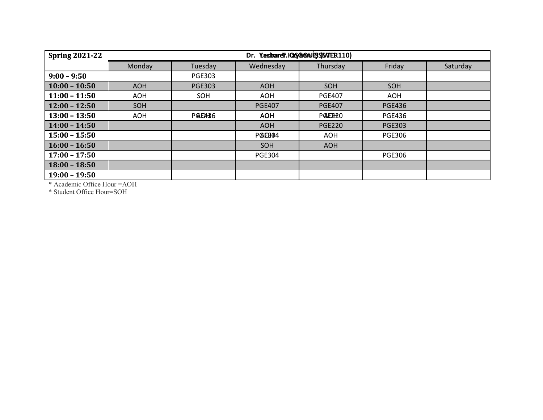| <b>Spring 2021-22</b> | Dr. Yesbarer.IQSG@NER(ENTER110) |               |                     |                      |               |          |  |
|-----------------------|---------------------------------|---------------|---------------------|----------------------|---------------|----------|--|
|                       | Monday                          | Tuesday       | Wednesday           | Thursday             | Friday        | Saturday |  |
| $9:00 - 9:50$         |                                 | <b>PGE303</b> |                     |                      |               |          |  |
| $10:00 - 10:50$       | <b>AOH</b>                      | <b>PGE303</b> | <b>AOH</b>          | <b>SOH</b>           | SOH           |          |  |
| $11:00 - 11:50$       | AOH                             | SOH           | AOH                 | <b>PGE407</b>        | AOH           |          |  |
| $12:00 - 12:50$       | <b>SOH</b>                      |               | <b>PGE407</b>       | <b>PGE407</b>        | <b>PGE436</b> |          |  |
| $13:00 - 13:50$       | AOH                             | POLO436       | <b>AOH</b>          | POSECH <sub>20</sub> | <b>PGE436</b> |          |  |
| $14:00 - 14:50$       |                                 |               | <b>AOH</b>          | <b>PGE220</b>        | <b>PGE303</b> |          |  |
| $ 15:00 - 15:50 $     |                                 |               | POLEB <sub>04</sub> | AOH                  | <b>PGE306</b> |          |  |
| $16:00 - 16:50$       |                                 |               | SOH                 | <b>AOH</b>           |               |          |  |
| $17:00 - 17:50$       |                                 |               | <b>PGE304</b>       |                      | <b>PGE306</b> |          |  |
| $18:00 - 18:50$       |                                 |               |                     |                      |               |          |  |
| $19:00 - 19:50$       |                                 |               |                     |                      |               |          |  |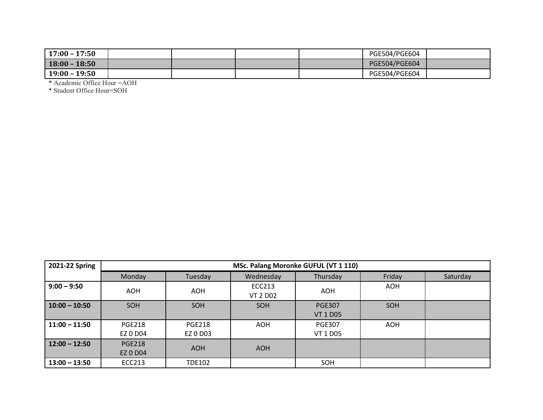| $17:00 - 17:50$ |  |  | PGE504/PGE604 |  |
|-----------------|--|--|---------------|--|
| $18:00 - 18:50$ |  |  | PGE504/PGE604 |  |
| $19:00 - 19:50$ |  |  | PGE504/PGE604 |  |

| 2021-22 Spring  | MSc. Palang Moronke GUFUL (VT 1 110) |                           |                           |                                  |            |          |  |  |
|-----------------|--------------------------------------|---------------------------|---------------------------|----------------------------------|------------|----------|--|--|
|                 | <b>Monday</b>                        | Tuesday                   | Wednesday                 | Thursday                         | Friday     | Saturday |  |  |
| $9:00 - 9:50$   | <b>AOH</b>                           | AOH                       | ECC213<br><b>VT 2 D02</b> | <b>AOH</b>                       | <b>AOH</b> |          |  |  |
| $10:00 - 10:50$ | SOH                                  | <b>SOH</b>                | SOH                       | <b>PGE307</b><br><b>VT 1 D05</b> | SOH        |          |  |  |
| $11:00 - 11:50$ | <b>PGE218</b><br>EZ 0 D04            | <b>PGE218</b><br>EZ 0 D03 | <b>AOH</b>                | <b>PGE307</b><br>VT 1 D05        | <b>AOH</b> |          |  |  |
| $12:00 - 12:50$ | <b>PGE218</b><br><b>EZ 0 D04</b>     | <b>AOH</b>                | <b>AOH</b>                |                                  |            |          |  |  |
| $13:00 - 13:50$ | ECC213                               | <b>TDE102</b>             |                           | SOH                              |            |          |  |  |